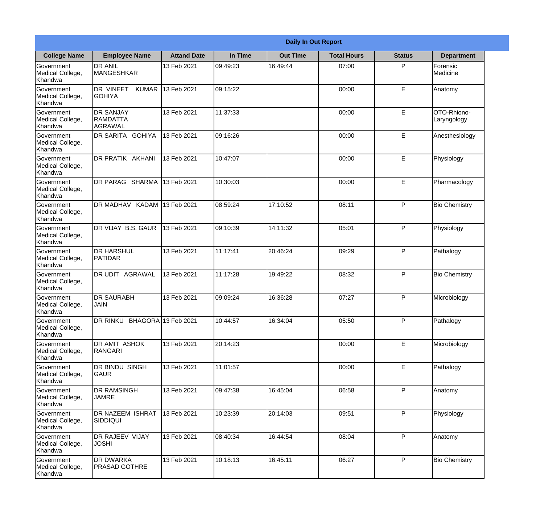|                                                  |                                                |                    |          | <b>Daily In Out Report</b> |                    |               |                            |
|--------------------------------------------------|------------------------------------------------|--------------------|----------|----------------------------|--------------------|---------------|----------------------------|
| <b>College Name</b>                              | <b>Employee Name</b>                           | <b>Attand Date</b> | In Time  | <b>Out Time</b>            | <b>Total Hours</b> | <b>Status</b> | <b>Department</b>          |
| Government<br>Medical College,<br>Khandwa        | <b>DR ANIL</b><br><b>MANGESHKAR</b>            | 13 Feb 2021        | 09:49:23 | 16:49:44                   | 07:00              | P             | Forensic<br>Medicine       |
| Government<br>Medical College,<br>Khandwa        | DR VINEET<br><b>KUMAR</b><br><b>GOHIYA</b>     | 13 Feb 2021        | 09:15:22 |                            | 00:00              | E             | Anatomy                    |
| Government<br>Medical College,<br>Khandwa        | <b>DR SANJAY</b><br><b>RAMDATTA</b><br>AGRAWAL | 13 Feb 2021        | 11:37:33 |                            | 00:00              | E             | OTO-Rhiono-<br>Laryngology |
| Government<br>Medical College,<br>Khandwa        | DR SARITA GOHIYA                               | 13 Feb 2021        | 09:16:26 |                            | 00:00              | E             | Anesthesiology             |
| <b>Government</b><br>Medical College,<br>Khandwa | DR PRATIK AKHANI                               | 13 Feb 2021        | 10:47:07 |                            | 00:00              | E             | Physiology                 |
| Government<br>Medical College,<br>Khandwa        | DR PARAG SHARMA                                | 13 Feb 2021        | 10:30:03 |                            | 00:00              | E             | Pharmacology               |
| Government<br>Medical College,<br>Khandwa        | DR MADHAV KADAM 13 Feb 2021                    |                    | 08:59:24 | 17:10:52                   | 08:11              | P             | <b>Bio Chemistry</b>       |
| Government<br>Medical College,<br>Khandwa        | DR VIJAY B.S. GAUR                             | 13 Feb 2021        | 09:10:39 | 14:11:32                   | 05:01              | P             | Physiology                 |
| Government<br>Medical College,<br>Khandwa        | <b>DR HARSHUL</b><br>PATIDAR                   | 13 Feb 2021        | 11:17:41 | 20:46:24                   | 09:29              | P             | Pathalogy                  |
| Government<br>Medical College,<br>Khandwa        | <b>AGRAWAL</b><br>DR UDIT                      | 13 Feb 2021        | 11:17:28 | 19:49:22                   | 08:32              | P             | <b>Bio Chemistry</b>       |
| Government<br>Medical College,<br>Khandwa        | <b>DR SAURABH</b><br><b>JAIN</b>               | 13 Feb 2021        | 09:09:24 | 16:36:28                   | 07:27              | P             | Microbiology               |
| Government<br>Medical College,<br>Khandwa        | DR RINKU BHAGORA 13 Feb 2021                   |                    | 10:44:57 | 16:34:04                   | 05:50              | P             | Pathalogy                  |
| Government<br>Medical College,<br>Khandwa        | DR AMIT ASHOK<br>RANGARI                       | 13 Feb 2021        | 20:14:23 |                            | 00:00              | E             | Microbiology               |
| Government<br>Medical College,<br>Khandwa        | DR BINDU SINGH<br><b>GAUR</b>                  | 13 Feb 2021        | 11:01:57 |                            | 00:00              | $\mathsf E$   | Pathalogy                  |
| Government<br>Medical College,<br>Khandwa        | <b>DR RAMSINGH</b><br><b>JAMRE</b>             | 13 Feb 2021        | 09:47:38 | 16:45:04                   | 06:58              | P             | Anatomy                    |
| Government<br>Medical College,<br>Khandwa        | <b>DR NAZEEM ISHRAT</b><br>SIDDIQUI            | 13 Feb 2021        | 10:23:39 | 20:14:03                   | 09:51              | P             | Physiology                 |
| Government<br>Medical College,<br>Khandwa        | DR RAJEEV VIJAY<br><b>JOSHI</b>                | 13 Feb 2021        | 08:40:34 | 16:44:54                   | 08:04              | P             | Anatomy                    |
| Government<br>Medical College,<br>Khandwa        | <b>DR DWARKA</b><br><b>PRASAD GOTHRE</b>       | 13 Feb 2021        | 10:18:13 | 16:45:11                   | 06:27              | P             | <b>Bio Chemistry</b>       |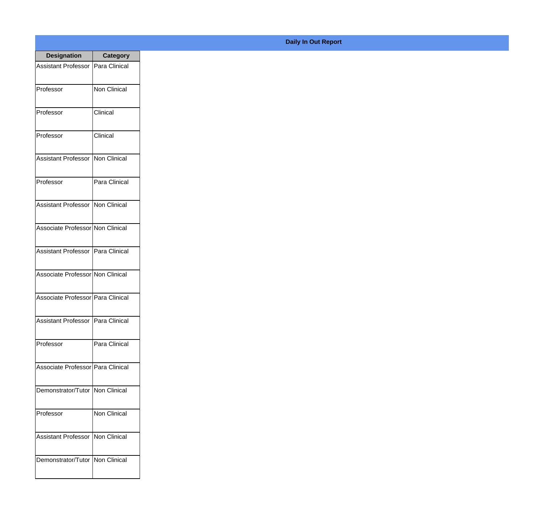| <b>Designation</b>                  | <b>Category</b>     |
|-------------------------------------|---------------------|
| Assistant Professor   Para Clinical |                     |
| Professor                           | <b>Non Clinical</b> |
| Professor                           | Clinical            |
| Professor                           | Clinical            |
| <b>Assistant Professor</b>          | Non Clinical        |
| Professor                           | Para Clinical       |
| Assistant Professor   Non Clinical  |                     |
| Associate Professor Non Clinical    |                     |
| Assistant Professor   Para Clinical |                     |
| Associate Professor Non Clinical    |                     |
| Associate Professor Para Clinical   |                     |
| Assistant Professor   Para Clinical |                     |
| Professor                           | Para Clinical       |
| Associate Professor Para Clinical   |                     |
| Demonstrator/Tutor   Non Clinical   |                     |
| Professor                           | Non Clinical        |
| <b>Assistant Professor</b>          | Non Clinical        |
| Demonstrator/Tutor   Non Clinical   |                     |

## **Daily In Out Report**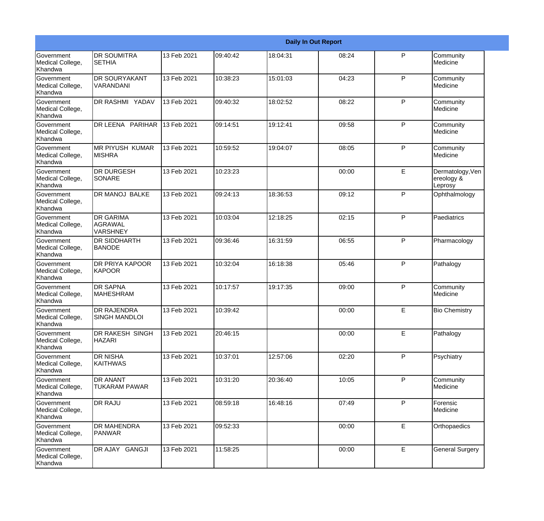|                                                  |                                                |             |          |          | <b>Daily In Out Report</b> |              |                                           |
|--------------------------------------------------|------------------------------------------------|-------------|----------|----------|----------------------------|--------------|-------------------------------------------|
| Government<br>Medical College,<br>Khandwa        | <b>DR SOUMITRA</b><br><b>SETHIA</b>            | 13 Feb 2021 | 09:40:42 | 18:04:31 | 08:24                      | $\mathsf{P}$ | Community<br>Medicine                     |
| Government<br>Medical College,<br>Khandwa        | <b>DR SOURYAKANT</b><br>VARANDANI              | 13 Feb 2021 | 10:38:23 | 15:01:03 | 04:23                      | P            | Community<br>Medicine                     |
| <b>Government</b><br>Medical College,<br>Khandwa | <b>DR RASHMI YADAV</b>                         | 13 Feb 2021 | 09:40:32 | 18:02:52 | 08:22                      | P            | Community<br>Medicine                     |
| <b>Government</b><br>Medical College,<br>Khandwa | DR LEENA PARIHAR                               | 13 Feb 2021 | 09:14:51 | 19:12:41 | 09:58                      | P            | Community<br>Medicine                     |
| Government<br>Medical College,<br>Khandwa        | <b>MR PIYUSH KUMAR</b><br><b>MISHRA</b>        | 13 Feb 2021 | 10:59:52 | 19:04:07 | 08:05                      | P            | Community<br>Medicine                     |
| Government<br>Medical College,<br><b>Khandwa</b> | <b>DR DURGESH</b><br>SONARE                    | 13 Feb 2021 | 10:23:23 |          | 00:00                      | E            | Dermatology, Ven<br>ereology &<br>Leprosy |
| <b>Government</b><br>Medical College,<br>Khandwa | DR MANOJ BALKE                                 | 13 Feb 2021 | 09:24:13 | 18:36:53 | 09:12                      | P            | Ophthalmology                             |
| Government<br>Medical College,<br>Khandwa        | <b>DR GARIMA</b><br>AGRAWAL<br><b>VARSHNEY</b> | 13 Feb 2021 | 10:03:04 | 12:18:25 | 02:15                      | $\mathsf{P}$ | Paediatrics                               |
| Government<br>Medical College,<br>Khandwa        | <b>DR SIDDHARTH</b><br><b>BANODE</b>           | 13 Feb 2021 | 09:36:46 | 16:31:59 | 06:55                      | P            | Pharmacology                              |
| <b>Government</b><br>Medical College,<br>Khandwa | <b>DR PRIYA KAPOOR</b><br><b>KAPOOR</b>        | 13 Feb 2021 | 10:32:04 | 16:18:38 | 05:46                      | P            | Pathalogy                                 |
| <b>Government</b><br>Medical College,<br>Khandwa | <b>DR SAPNA</b><br><b>MAHESHRAM</b>            | 13 Feb 2021 | 10:17:57 | 19:17:35 | 09:00                      | P            | Community<br>Medicine                     |
| Government<br>Medical College,<br>Khandwa        | <b>DR RAJENDRA</b><br><b>SINGH MANDLOI</b>     | 13 Feb 2021 | 10:39:42 |          | 00:00                      | E            | <b>Bio Chemistry</b>                      |
| Government<br>Medical College,<br>Khandwa        | DR RAKESH SINGH<br><b>HAZARI</b>               | 13 Feb 2021 | 20:46:15 |          | 00:00                      | E            | Pathalogy                                 |
| <b>Government</b><br>Medical College,<br>Khandwa | <b>DR NISHA</b><br><b>KAITHWAS</b>             | 13 Feb 2021 | 10:37:01 | 12:57:06 | 02:20                      | P            | Psychiatry                                |
| Government<br>Medical College,<br>Khandwa        | <b>DR ANANT</b><br><b>TUKARAM PAWAR</b>        | 13 Feb 2021 | 10:31:20 | 20:36:40 | 10:05                      | P            | Community<br>Medicine                     |
| Government<br>Medical College,<br>Khandwa        | <b>DR RAJU</b>                                 | 13 Feb 2021 | 08:59:18 | 16:48:16 | 07:49                      | P            | Forensic<br>Medicine                      |
| Government<br>Medical College,<br>Khandwa        | <b>DR MAHENDRA</b><br>PANWAR                   | 13 Feb 2021 | 09:52:33 |          | 00:00                      | $\mathsf E$  | Orthopaedics                              |
| Government<br>Medical College,<br>Khandwa        | DR AJAY GANGJI                                 | 13 Feb 2021 | 11:58:25 |          | 00:00                      | E            | <b>General Surgery</b>                    |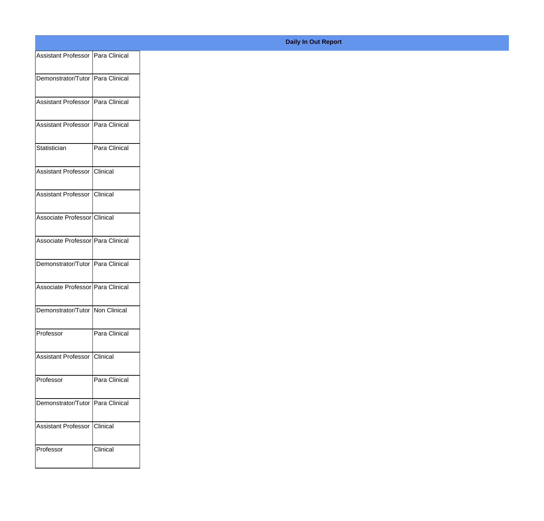| Assistant Professor   Para Clinical |               |
|-------------------------------------|---------------|
| Demonstrator/Tutor Para Clinical    |               |
|                                     |               |
| Assistant Professor Para Clinical   |               |
| Assistant Professor   Para Clinical |               |
|                                     |               |
| Statistician                        | Para Clinical |
| Assistant Professor Clinical        |               |
| Assistant Professor Clinical        |               |
|                                     |               |
| Associate Professor Clinical        |               |
| Associate Professor Para Clinical   |               |
|                                     |               |
| Demonstrator/Tutor Para Clinical    |               |
| Associate Professor Para Clinical   |               |
| Demonstrator/Tutor Non Clinical     |               |
|                                     |               |
| Professor                           | Para Clinical |
| Assistant Professor Clinical        |               |
|                                     |               |
| Professor                           | Para Clinical |
| Demonstrator/Tutor Para Clinical    |               |
| Assistant Professor Clinical        |               |
|                                     |               |
| Professor                           | Clinical      |
|                                     |               |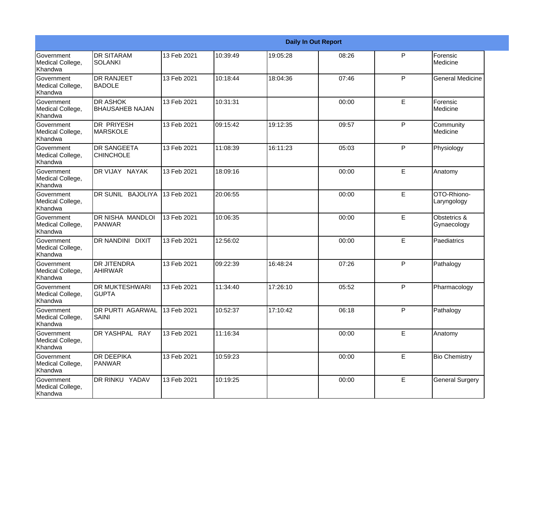|                                                         |                                           |             |          |          | <b>Daily In Out Report</b> |             |                             |
|---------------------------------------------------------|-------------------------------------------|-------------|----------|----------|----------------------------|-------------|-----------------------------|
| Government<br>Medical College,<br>Khandwa               | <b>IDR SITARAM</b><br><b>SOLANKI</b>      | 13 Feb 2021 | 10:39:49 | 19:05:28 | 08:26                      | P           | Forensic<br>Medicine        |
| Government<br>Medical College,<br>Khandwa               | <b>DR RANJEET</b><br><b>BADOLE</b>        | 13 Feb 2021 | 10:18:44 | 18:04:36 | 07:46                      | P           | <b>General Medicine</b>     |
| <b>Government</b><br>Medical College,<br>Khandwa        | <b>DR ASHOK</b><br><b>BHAUSAHEB NAJAN</b> | 13 Feb 2021 | 10:31:31 |          | 00:00                      | E           | Forensic<br>Medicine        |
| Government<br>Medical College,<br>Khandwa               | DR PRIYESH<br><b>MARSKOLE</b>             | 13 Feb 2021 | 09:15:42 | 19:12:35 | 09:57                      | P           | Community<br>Medicine       |
| Government<br>Medical College,<br>Khandwa               | <b>DR SANGEETA</b><br><b>CHINCHOLE</b>    | 13 Feb 2021 | 11:08:39 | 16:11:23 | 05:03                      | P           | Physiology                  |
| Government<br>Medical College,<br>Khandwa               | DR VIJAY NAYAK                            | 13 Feb 2021 | 18:09:16 |          | 00:00                      | E           | Anatomy                     |
| <b>Government</b><br>Medical College,<br><b>Khandwa</b> | DR SUNIL BAJOLIYA                         | 13 Feb 2021 | 20:06:55 |          | 00:00                      | E           | OTO-Rhiono-<br>Laryngology  |
| Government<br>Medical College,<br>Khandwa               | DR NISHA MANDLOI<br><b>PANWAR</b>         | 13 Feb 2021 | 10:06:35 |          | 00:00                      | $\mathsf E$ | Obstetrics &<br>Gynaecology |
| Government<br>Medical College,<br>Khandwa               | <b>DR NANDINI</b><br><b>DIXIT</b>         | 13 Feb 2021 | 12:56:02 |          | 00:00                      | E           | Paediatrics                 |
| Government<br>Medical College,<br>Khandwa               | <b>DR JITENDRA</b><br><b>AHIRWAR</b>      | 13 Feb 2021 | 09:22:39 | 16:48:24 | 07:26                      | P           | Pathalogy                   |
| <b>Government</b><br>Medical College,<br>Khandwa        | <b>DR MUKTESHWARI</b><br><b>GUPTA</b>     | 13 Feb 2021 | 11:34:40 | 17:26:10 | 05:52                      | P           | Pharmacology                |
| Government<br>Medical College,<br>Khandwa               | <b>DR PURTI AGARWAL</b><br>SAINI          | 13 Feb 2021 | 10:52:37 | 17:10:42 | 06:18                      | P           | Pathalogy                   |
| Government<br>Medical College,<br>Khandwa               | DR YASHPAL RAY                            | 13 Feb 2021 | 11:16:34 |          | 00:00                      | $\mathsf E$ | Anatomy                     |
| Government<br>Medical College,<br>Khandwa               | <b>DR DEEPIKA</b><br><b>PANWAR</b>        | 13 Feb 2021 | 10:59:23 |          | 00:00                      | $\mathsf E$ | <b>Bio Chemistry</b>        |
| Government<br>Medical College,<br>Khandwa               | DR RINKU YADAV                            | 13 Feb 2021 | 10:19:25 |          | 00:00                      | $\mathsf E$ | <b>General Surgery</b>      |